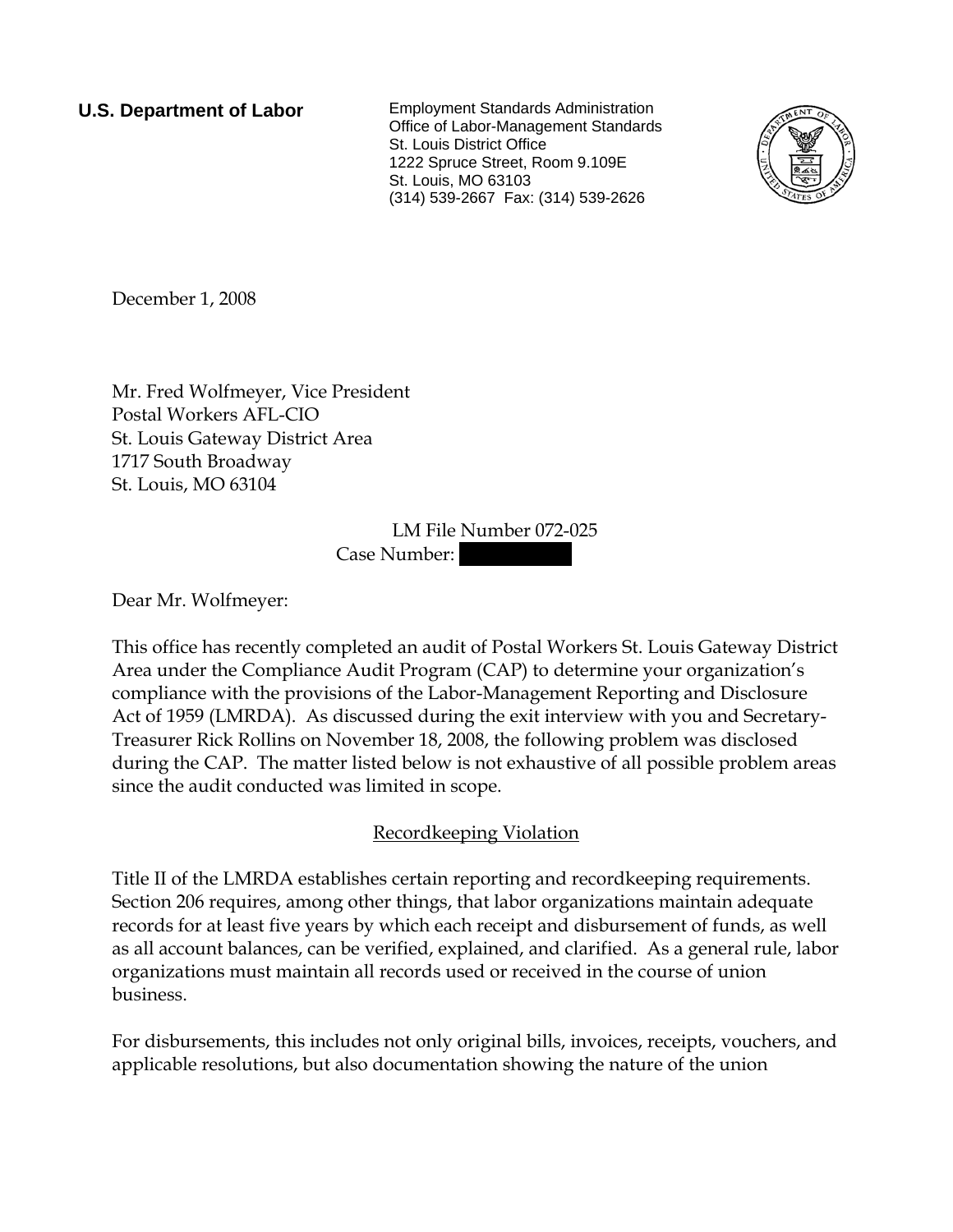**U.S. Department of Labor** Employment Standards Administration Office of Labor-Management Standards St. Louis District Office 1222 Spruce Street, Room 9.109E St. Louis, MO 63103 (314) 539-2667 Fax: (314) 539-2626



December 1, 2008

Mr. Fred Wolfmeyer, Vice President Postal Workers AFL-CIO St. Louis Gateway District Area 1717 South Broadway St. Louis, MO 63104

> LM File Number 072-025 Case Number:

Dear Mr. Wolfmeyer:

This office has recently completed an audit of Postal Workers St. Louis Gateway District Area under the Compliance Audit Program (CAP) to determine your organization's compliance with the provisions of the Labor-Management Reporting and Disclosure Act of 1959 (LMRDA). As discussed during the exit interview with you and Secretary-Treasurer Rick Rollins on November 18, 2008, the following problem was disclosed during the CAP. The matter listed below is not exhaustive of all possible problem areas since the audit conducted was limited in scope.

## Recordkeeping Violation

Title II of the LMRDA establishes certain reporting and recordkeeping requirements. Section 206 requires, among other things, that labor organizations maintain adequate records for at least five years by which each receipt and disbursement of funds, as well as all account balances, can be verified, explained, and clarified. As a general rule, labor organizations must maintain all records used or received in the course of union business.

For disbursements, this includes not only original bills, invoices, receipts, vouchers, and applicable resolutions, but also documentation showing the nature of the union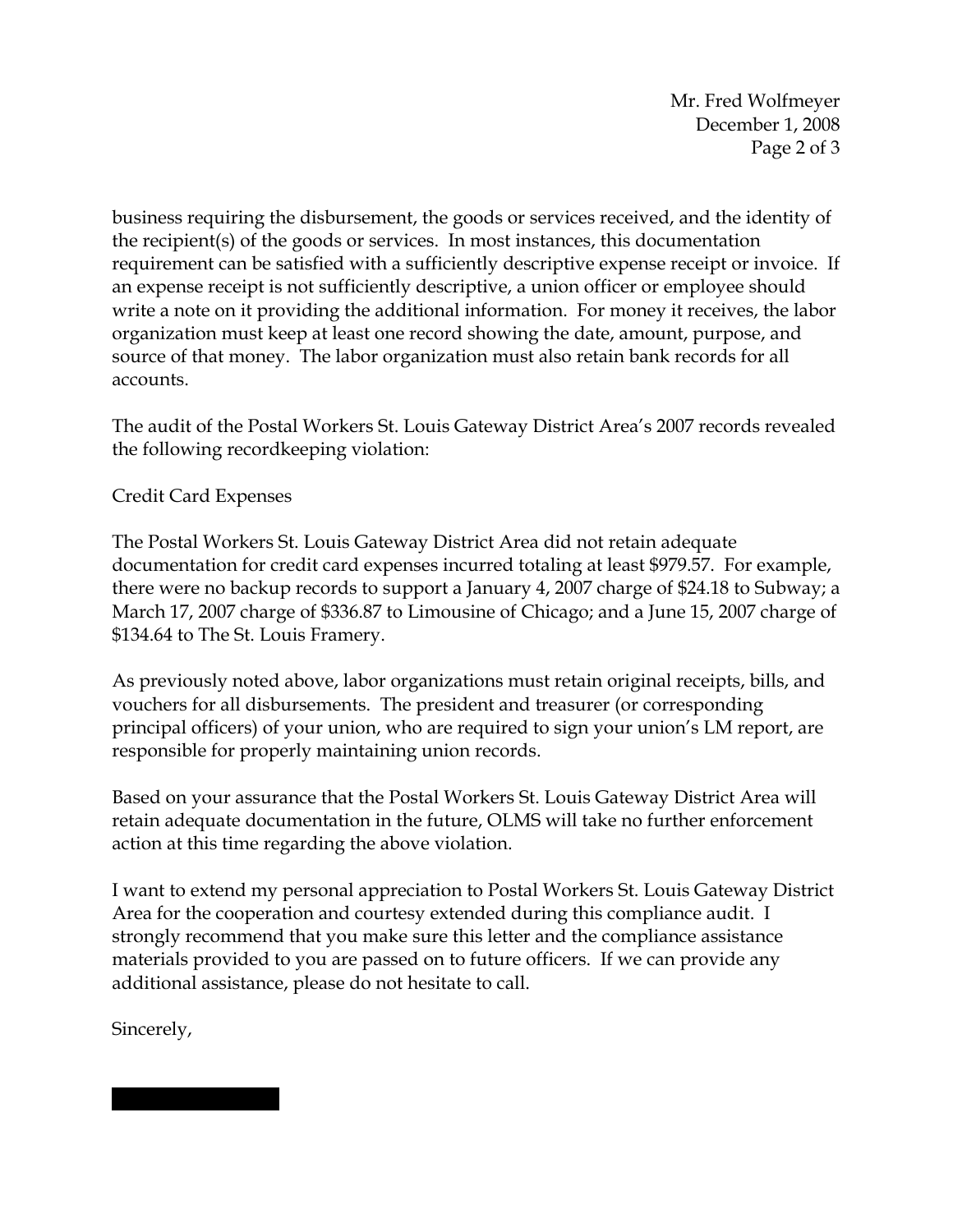Mr. Fred Wolfmeyer December 1, 2008 Page 2 of 3

business requiring the disbursement, the goods or services received, and the identity of the recipient(s) of the goods or services. In most instances, this documentation requirement can be satisfied with a sufficiently descriptive expense receipt or invoice. If an expense receipt is not sufficiently descriptive, a union officer or employee should write a note on it providing the additional information. For money it receives, the labor organization must keep at least one record showing the date, amount, purpose, and source of that money. The labor organization must also retain bank records for all accounts.

The audit of the Postal Workers St. Louis Gateway District Area's 2007 records revealed the following recordkeeping violation:

Credit Card Expenses

The Postal Workers St. Louis Gateway District Area did not retain adequate documentation for credit card expenses incurred totaling at least \$979.57. For example, there were no backup records to support a January 4, 2007 charge of \$24.18 to Subway; a March 17, 2007 charge of \$336.87 to Limousine of Chicago; and a June 15, 2007 charge of \$134.64 to The St. Louis Framery.

As previously noted above, labor organizations must retain original receipts, bills, and vouchers for all disbursements. The president and treasurer (or corresponding principal officers) of your union, who are required to sign your union's LM report, are responsible for properly maintaining union records.

Based on your assurance that the Postal Workers St. Louis Gateway District Area will retain adequate documentation in the future, OLMS will take no further enforcement action at this time regarding the above violation.

I want to extend my personal appreciation to Postal Workers St. Louis Gateway District Area for the cooperation and courtesy extended during this compliance audit. I strongly recommend that you make sure this letter and the compliance assistance materials provided to you are passed on to future officers. If we can provide any additional assistance, please do not hesitate to call.

Sincerely,